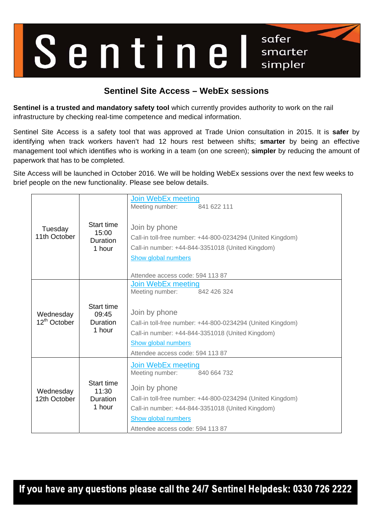

## **Sentinel Site Access – WebEx sessions**

**Sentinel is a trusted and mandatory safety tool** which currently provides authority to work on the rail infrastructure by checking real-time competence and medical information.

Sentinel Site Access is a safety tool that was approved at Trade Union consultation in 2015. It is **safer** by identifying when track workers haven't had 12 hours rest between shifts; **smarter** by being an effective management tool which identifies who is working in a team (on one screen); **simpler** by reducing the amount of paperwork that has to be completed.

Site Access will be launched in October 2016. We will be holding WebEx sessions over the next few weeks to brief people on the new functionality. Please see below details.

| Tuesday<br>11th October               | Start time<br>15:00<br>Duration<br>1 hour        | <b>Join WebEx meeting</b><br>841 622 111<br>Meeting number:<br>Join by phone<br>Call-in toll-free number: +44-800-0234294 (United Kingdom)<br>Call-in number: +44-844-3351018 (United Kingdom)<br>Show global numbers<br>Attendee access code: 594 113 87        |
|---------------------------------------|--------------------------------------------------|------------------------------------------------------------------------------------------------------------------------------------------------------------------------------------------------------------------------------------------------------------------|
| Wednesday<br>12 <sup>th</sup> October | Start time<br>09:45<br><b>Duration</b><br>1 hour | <b>Join WebEx meeting</b><br>Meeting number:<br>842 426 324<br>Join by phone<br>Call-in toll-free number: +44-800-0234294 (United Kingdom)<br>Call-in number: +44-844-3351018 (United Kingdom)<br><b>Show global numbers</b><br>Attendee access code: 594 113 87 |
| Wednesday<br>12th October             | Start time<br>11:30<br><b>Duration</b><br>1 hour | Join WebEx meeting<br>Meeting number:<br>840 664 732<br>Join by phone<br>Call-in toll-free number: +44-800-0234294 (United Kingdom)<br>Call-in number: +44-844-3351018 (United Kingdom)<br>Show global numbers<br>Attendee access code: 594 113 87               |